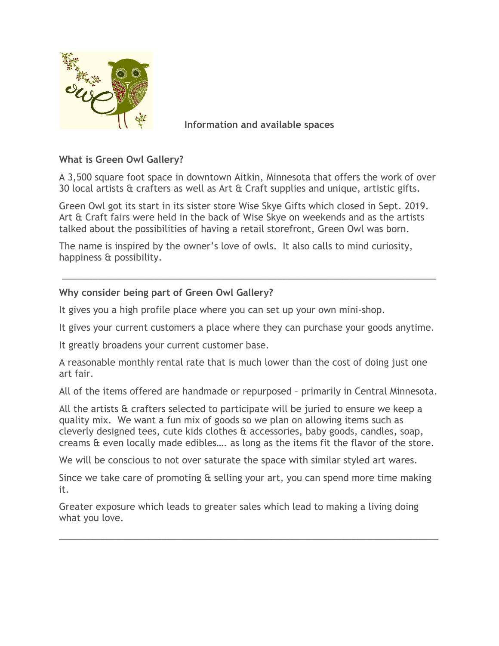

 **Information and available spaces**

## **What is Green Owl Gallery?**

A 3,500 square foot space in downtown Aitkin, Minnesota that offers the work of over 30 local artists & crafters as well as Art & Craft supplies and unique, artistic gifts.

Green Owl got its start in its sister store Wise Skye Gifts which closed in Sept. 2019. Art & Craft fairs were held in the back of Wise Skye on weekends and as the artists talked about the possibilities of having a retail storefront, Green Owl was born.

The name is inspired by the owner's love of owls. It also calls to mind curiosity, happiness & possibility.

# **Why consider being part of Green Owl Gallery?**

It gives you a high profile place where you can set up your own mini-shop.

It gives your current customers a place where they can purchase your goods anytime.

\_\_\_\_\_\_\_\_\_\_\_\_\_\_\_\_\_\_\_\_\_\_\_\_\_\_\_\_\_\_\_\_\_\_\_\_\_\_\_\_\_\_\_\_\_\_\_\_\_\_\_\_\_\_\_\_\_\_\_\_\_\_\_\_\_\_\_\_\_\_\_\_\_

It greatly broadens your current customer base.

A reasonable monthly rental rate that is much lower than the cost of doing just one art fair.

All of the items offered are handmade or repurposed – primarily in Central Minnesota.

All the artists & crafters selected to participate will be juried to ensure we keep a quality mix. We want a fun mix of goods so we plan on allowing items such as cleverly designed tees, cute kids clothes & accessories, baby goods, candles, soap, creams & even locally made edibles…. as long as the items fit the flavor of the store.

We will be conscious to not over saturate the space with similar styled art wares.

Since we take care of promoting & selling your art, you can spend more time making it.

\_\_\_\_\_\_\_\_\_\_\_\_\_\_\_\_\_\_\_\_\_\_\_\_\_\_\_\_\_\_\_\_\_\_\_\_\_\_\_\_\_\_\_\_\_\_\_\_\_\_\_\_\_\_\_\_\_\_\_\_\_\_\_\_\_\_\_\_\_\_\_\_\_\_

Greater exposure which leads to greater sales which lead to making a living doing what you love.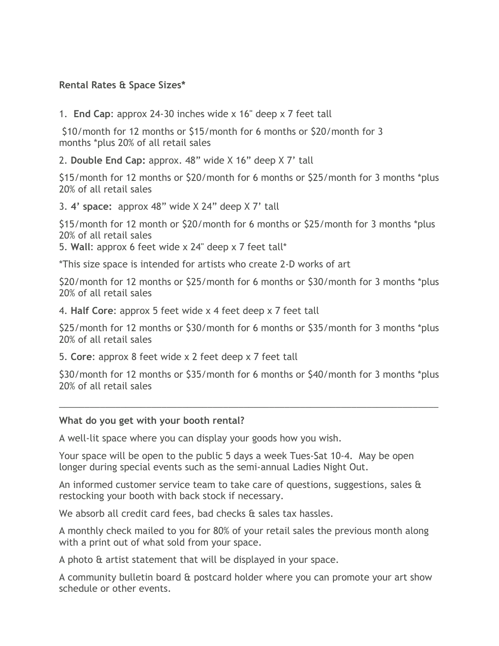### **Rental Rates & Space Sizes\***

1. **End Cap**: approx 24-30 inches wide x 16" deep x 7 feet tall

\$10/month for 12 months or \$15/month for 6 months or \$20/month for 3 months \*plus 20% of all retail sales

2. **Double End Cap:** approx. 48" wide X 16" deep X 7' tall

\$15/month for 12 months or \$20/month for 6 months or \$25/month for 3 months \*plus 20% of all retail sales

3. **4' space:** approx 48" wide X 24" deep X 7' tall

\$15/month for 12 month or \$20/month for 6 months or \$25/month for 3 months \*plus 20% of all retail sales

5. **Wall**: approx 6 feet wide x 24" deep x 7 feet tall\*

\*This size space is intended for artists who create 2-D works of art

\$20/month for 12 months or \$25/month for 6 months or \$30/month for 3 months \*plus 20% of all retail sales

4. **Half Core**: approx 5 feet wide x 4 feet deep x 7 feet tall

\$25/month for 12 months or \$30/month for 6 months or \$35/month for 3 months \*plus 20% of all retail sales

5. **Core**: approx 8 feet wide x 2 feet deep x 7 feet tall

\$30/month for 12 months or \$35/month for 6 months or \$40/month for 3 months \*plus 20% of all retail sales

\_\_\_\_\_\_\_\_\_\_\_\_\_\_\_\_\_\_\_\_\_\_\_\_\_\_\_\_\_\_\_\_\_\_\_\_\_\_\_\_\_\_\_\_\_\_\_\_\_\_\_\_\_\_\_\_\_\_\_\_\_\_\_\_\_\_\_\_\_\_\_\_\_\_

### **What do you get with your booth rental?**

A well-lit space where you can display your goods how you wish.

Your space will be open to the public 5 days a week Tues-Sat 10-4. May be open longer during special events such as the semi-annual Ladies Night Out.

An informed customer service team to take care of questions, suggestions, sales & restocking your booth with back stock if necessary.

We absorb all credit card fees, bad checks & sales tax hassles.

A monthly check mailed to you for 80% of your retail sales the previous month along with a print out of what sold from your space.

A photo & artist statement that will be displayed in your space.

A community bulletin board & postcard holder where you can promote your art show schedule or other events.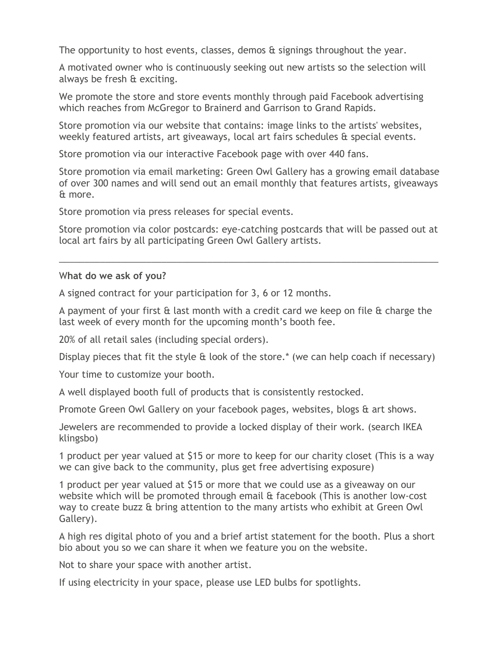The opportunity to host events, classes, demos & signings throughout the year.

A motivated owner who is continuously seeking out new artists so the selection will always be fresh & exciting.

We promote the store and store events monthly through paid Facebook advertising which reaches from McGregor to Brainerd and Garrison to Grand Rapids.

Store promotion via our website that contains: image links to the artists' websites, weekly featured artists, art giveaways, local art fairs schedules & special events.

Store promotion via our interactive Facebook page with over 440 fans.

Store promotion via email marketing: Green Owl Gallery has a growing email database of over 300 names and will send out an email monthly that features artists, giveaways & more.

Store promotion via press releases for special events.

Store promotion via color postcards: eye-catching postcards that will be passed out at local art fairs by all participating Green Owl Gallery artists.

\_\_\_\_\_\_\_\_\_\_\_\_\_\_\_\_\_\_\_\_\_\_\_\_\_\_\_\_\_\_\_\_\_\_\_\_\_\_\_\_\_\_\_\_\_\_\_\_\_\_\_\_\_\_\_\_\_\_\_\_\_\_\_\_\_\_\_\_\_\_\_\_\_\_

#### W**hat do we ask of you?**

A signed contract for your participation for 3, 6 or 12 months.

A payment of your first  $\theta$  last month with a credit card we keep on file  $\theta$  charge the last week of every month for the upcoming month's booth fee.

20% of all retail sales (including special orders).

Display pieces that fit the style & look of the store.\* (we can help coach if necessary)

Your time to customize your booth.

A well displayed booth full of products that is consistently restocked.

Promote Green Owl Gallery on your facebook pages, websites, blogs & art shows.

Jewelers are recommended to provide a locked display of their work. (search IKEA klingsbo)

1 product per year valued at \$15 or more to keep for our charity closet (This is a way we can give back to the community, plus get free advertising exposure)

1 product per year valued at \$15 or more that we could use as a giveaway on our website which will be promoted through email & facebook (This is another low-cost way to create buzz & bring attention to the many artists who exhibit at Green Owl Gallery).

A high res digital photo of you and a brief artist statement for the booth. Plus a short bio about you so we can share it when we feature you on the website.

Not to share your space with another artist.

If using electricity in your space, please use LED bulbs for spotlights.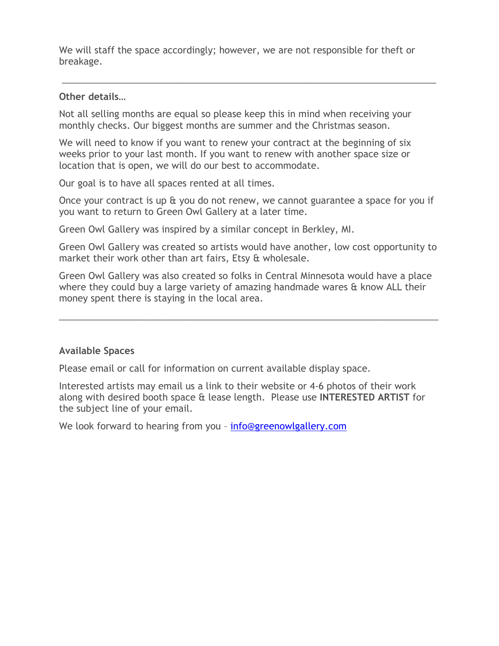We will staff the space accordingly; however, we are not responsible for theft or breakage.

\_\_\_\_\_\_\_\_\_\_\_\_\_\_\_\_\_\_\_\_\_\_\_\_\_\_\_\_\_\_\_\_\_\_\_\_\_\_\_\_\_\_\_\_\_\_\_\_\_\_\_\_\_\_\_\_\_\_\_\_\_\_\_\_\_\_\_\_\_\_\_\_\_

#### **Other details…**

Not all selling months are equal so please keep this in mind when receiving your monthly checks. Our biggest months are summer and the Christmas season.

We will need to know if you want to renew your contract at the beginning of six weeks prior to your last month. If you want to renew with another space size or location that is open, we will do our best to accommodate.

Our goal is to have all spaces rented at all times.

Once your contract is up & you do not renew, we cannot guarantee a space for you if you want to return to Green Owl Gallery at a later time.

Green Owl Gallery was inspired by a similar concept in Berkley, MI.

Green Owl Gallery was created so artists would have another, low cost opportunity to market their work other than art fairs, Etsy & wholesale.

Green Owl Gallery was also created so folks in Central Minnesota would have a place where they could buy a large variety of amazing handmade wares & know ALL their money spent there is staying in the local area.

\_\_\_\_\_\_\_\_\_\_\_\_\_\_\_\_\_\_\_\_\_\_\_\_\_\_\_\_\_\_\_\_\_\_\_\_\_\_\_\_\_\_\_\_\_\_\_\_\_\_\_\_\_\_\_\_\_\_\_\_\_\_\_\_\_\_\_\_\_\_\_\_\_\_

### **Available Spaces**

Please email or call for information on current available display space.

Interested artists may email us a link to their website or 4-6 photos of their work along with desired booth space & lease length. Please use **INTERESTED ARTIST** for the subject line of your email.

We look forward to hearing from you - info@greenowlgallery.com